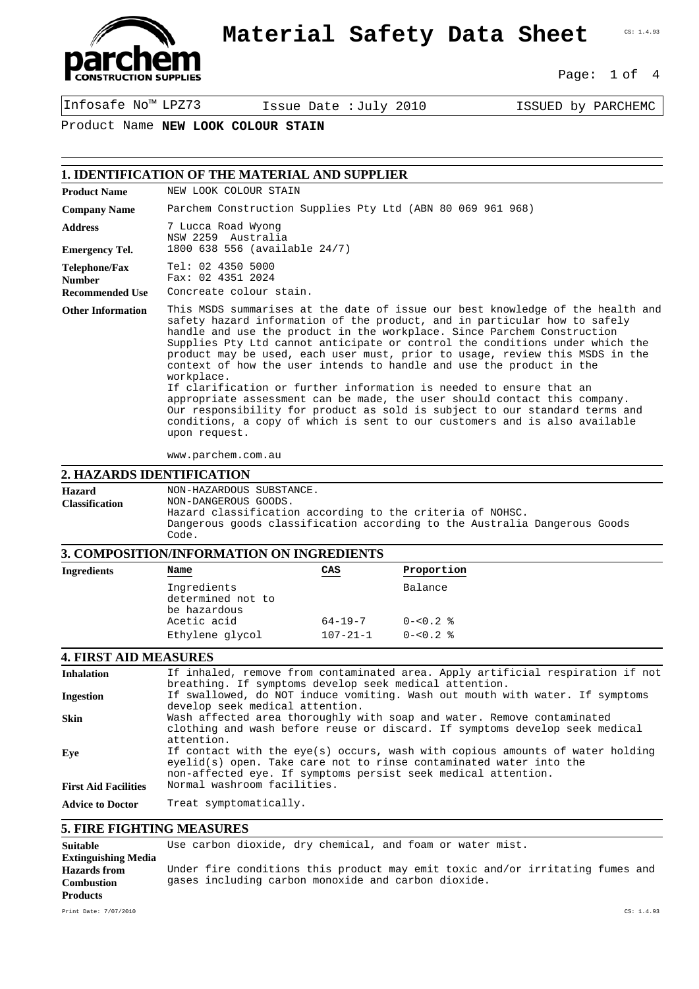

CS: 1.4.93

Page: 1 of 4

Infosafe No™ LPZ73 Issue Date :July 2010 ISSUED by PARCHEMC

Product Name **NEW LOOK COLOUR STAIN**

## **1. IDENTIFICATION OF THE MATERIAL AND SUPPLIER**

| <b>Product Name</b>                                      | NEW LOOK COLOUR STAIN                                                                                                                                                                                                                                                                                                                                                                                                                                                                                                                                                                                                                                                                                                                                                                                                          |  |
|----------------------------------------------------------|--------------------------------------------------------------------------------------------------------------------------------------------------------------------------------------------------------------------------------------------------------------------------------------------------------------------------------------------------------------------------------------------------------------------------------------------------------------------------------------------------------------------------------------------------------------------------------------------------------------------------------------------------------------------------------------------------------------------------------------------------------------------------------------------------------------------------------|--|
| <b>Company Name</b>                                      | Parchem Construction Supplies Pty Ltd (ABN 80 069 961 968)                                                                                                                                                                                                                                                                                                                                                                                                                                                                                                                                                                                                                                                                                                                                                                     |  |
| <b>Address</b>                                           | 7 Lucca Road Wyong<br>NSW 2259 Australia                                                                                                                                                                                                                                                                                                                                                                                                                                                                                                                                                                                                                                                                                                                                                                                       |  |
| <b>Emergency Tel.</b>                                    | 1800 638 556 (available 24/7)                                                                                                                                                                                                                                                                                                                                                                                                                                                                                                                                                                                                                                                                                                                                                                                                  |  |
| Telephone/Fax<br><b>Number</b><br><b>Recommended Use</b> | Tel: 02 4350 5000<br>Fax: 02 4351 2024<br>Concreate colour stain.                                                                                                                                                                                                                                                                                                                                                                                                                                                                                                                                                                                                                                                                                                                                                              |  |
| <b>Other Information</b>                                 | This MSDS summarises at the date of issue our best knowledge of the health and<br>safety hazard information of the product, and in particular how to safely<br>handle and use the product in the workplace. Since Parchem Construction<br>Supplies Pty Ltd cannot anticipate or control the conditions under which the<br>product may be used, each user must, prior to usage, review this MSDS in the<br>context of how the user intends to handle and use the product in the<br>workplace.<br>If clarification or further information is needed to ensure that an<br>appropriate assessment can be made, the user should contact this company.<br>Our responsibility for product as sold is subject to our standard terms and<br>conditions, a copy of which is sent to our customers and is also available<br>upon request. |  |

www.parchem.com.au

#### **2. HAZARDS IDENTIFICATION**

**Hazard Classification** NON-HAZARDOUS SUBSTANCE. NON-DANGEROUS GOODS. Hazard classification according to the criteria of NOHSC. Dangerous goods classification according to the Australia Dangerous Goods Code.

## **3. COMPOSITION/INFORMATION ON INGREDIENTS**

| 01 COMA ODALIOI 911 U OINMALIOI 1 OI 1 A 1 OINDADI 1 I D |                                                  |                |              |  |
|----------------------------------------------------------|--------------------------------------------------|----------------|--------------|--|
| Ingredients                                              | Name                                             | CAS            | Proportion   |  |
|                                                          | Ingredients<br>determined not to<br>be hazardous |                | Balance      |  |
|                                                          | Acetic acid                                      | $64 - 19 - 7$  | $0 - 50.2$ % |  |
|                                                          | Ethylene glycol                                  | $107 - 21 - 1$ | $0 - 50.2$ % |  |
|                                                          |                                                  |                |              |  |

### **4. FIRST AID MEASURES**

| <b>Inhalation</b>           | If inhaled, remove from contaminated area. Apply artificial respiration if not<br>breathing. If symptoms develop seek medical attention.                                                                             |  |  |
|-----------------------------|----------------------------------------------------------------------------------------------------------------------------------------------------------------------------------------------------------------------|--|--|
| <b>Ingestion</b>            | If swallowed, do NOT induce vomiting. Wash out mouth with water. If symptoms<br>develop seek medical attention.                                                                                                      |  |  |
| <b>Skin</b>                 | Wash affected area thoroughly with soap and water. Remove contaminated<br>clothing and wash before reuse or discard. If symptoms develop seek medical<br>attention.                                                  |  |  |
| Eve                         | If contact with the eye(s) occurs, wash with copious amounts of water holding<br>eyelid(s) open. Take care not to rinse contaminated water into the<br>non-affected eye. If symptoms persist seek medical attention. |  |  |
| <b>First Aid Facilities</b> | Normal washroom facilities.                                                                                                                                                                                          |  |  |
| <b>Advice to Doctor</b>     | Treat symptomatically.                                                                                                                                                                                               |  |  |

### **5. FIRE FIGHTING MEASURES**

| <b>Suitable</b>            | Use carbon dioxide, dry chemical, and foam or water mist.                     |
|----------------------------|-------------------------------------------------------------------------------|
| <b>Extinguishing Media</b> |                                                                               |
| <b>Hazards</b> from        | Under fire conditions this product may emit toxic and/or irritating fumes and |
| <b>Combustion</b>          | gases including carbon monoxide and carbon dioxide.                           |
| <b>Products</b>            |                                                                               |
| Print Date: 7/07/2010      | CS: 1.4.93                                                                    |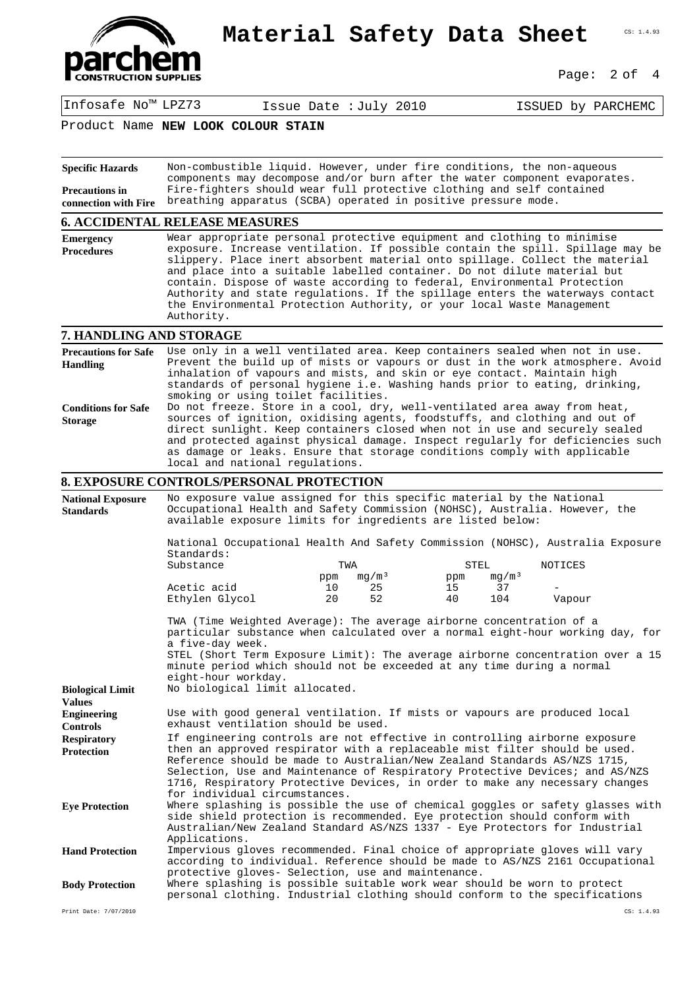

Page: 2 of 4

Infosafe No™ LPZ73 Issue Date :July 2010 ISSUED by PARCHEMC

Product Name **NEW LOOK COLOUR STAIN**

| <b>Specific Hazards</b>                                    | Non-combustible liquid. However, under fire conditions, the non-aqueous                                                                                                                                                                                                                                                                                                                                                                                                                                                                                                    |                      |          |           |        |
|------------------------------------------------------------|----------------------------------------------------------------------------------------------------------------------------------------------------------------------------------------------------------------------------------------------------------------------------------------------------------------------------------------------------------------------------------------------------------------------------------------------------------------------------------------------------------------------------------------------------------------------------|----------------------|----------|-----------|--------|
| <b>Precautions in</b><br>connection with Fire              | components may decompose and/or burn after the water component evaporates.<br>Fire-fighters should wear full protective clothing and self contained<br>breathing apparatus (SCBA) operated in positive pressure mode.                                                                                                                                                                                                                                                                                                                                                      |                      |          |           |        |
|                                                            | <b>6. ACCIDENTAL RELEASE MEASURES</b>                                                                                                                                                                                                                                                                                                                                                                                                                                                                                                                                      |                      |          |           |        |
| <b>Emergency</b><br><b>Procedures</b>                      | Wear appropriate personal protective equipment and clothing to minimise<br>exposure. Increase ventilation. If possible contain the spill. Spillage may be<br>slippery. Place inert absorbent material onto spillage. Collect the material<br>and place into a suitable labelled container. Do not dilute material but<br>contain. Dispose of waste according to federal, Environmental Protection<br>Authority and state regulations. If the spillage enters the waterways contact<br>the Environmental Protection Authority, or your local Waste Management<br>Authority. |                      |          |           |        |
| 7. HANDLING AND STORAGE                                    |                                                                                                                                                                                                                                                                                                                                                                                                                                                                                                                                                                            |                      |          |           |        |
| <b>Precautions for Safe</b><br><b>Handling</b>             | Use only in a well ventilated area. Keep containers sealed when not in use.<br>Prevent the build up of mists or vapours or dust in the work atmosphere. Avoid<br>inhalation of vapours and mists, and skin or eye contact. Maintain high<br>standards of personal hygiene i.e. Washing hands prior to eating, drinking,<br>smoking or using toilet facilities.                                                                                                                                                                                                             |                      |          |           |        |
| <b>Conditions for Safe</b><br><b>Storage</b>               | Do not freeze. Store in a cool, dry, well-ventilated area away from heat,<br>sources of ignition, oxidising agents, foodstuffs, and clothing and out of<br>direct sunlight. Keep containers closed when not in use and securely sealed<br>and protected against physical damage. Inspect regularly for deficiencies such<br>as damage or leaks. Ensure that storage conditions comply with applicable<br>local and national requlations.                                                                                                                                   |                      |          |           |        |
|                                                            | 8. EXPOSURE CONTROLS/PERSONAL PROTECTION                                                                                                                                                                                                                                                                                                                                                                                                                                                                                                                                   |                      |          |           |        |
| <b>National Exposure</b><br><b>Standards</b>               | No exposure value assigned for this specific material by the National<br>Occupational Health and Safety Commission (NOHSC), Australia. However, the<br>available exposure limits for ingredients are listed below:                                                                                                                                                                                                                                                                                                                                                         |                      |          |           |        |
|                                                            | National Occupational Health And Safety Commission (NOHSC), Australia Exposure<br>Standards:<br>Substance<br>TWA<br>STEL<br>NOTICES<br>mq/m <sup>3</sup><br>mg/m <sup>3</sup><br>ppm<br>ppm                                                                                                                                                                                                                                                                                                                                                                                |                      |          |           |        |
|                                                            | Acetic acid<br>Ethylen Glycol                                                                                                                                                                                                                                                                                                                                                                                                                                                                                                                                              | 25<br>10<br>20<br>52 | 15<br>40 | 37<br>104 | Vapour |
| <b>Biological Limit</b>                                    | TWA (Time Weighted Average): The average airborne concentration of a<br>particular substance when calculated over a normal eight-hour working day, for<br>a five-day week.<br>STEL (Short Term Exposure Limit): The average airborne concentration over a 15<br>minute period which should not be exceeded at any time during a normal<br>eight-hour workday.<br>No biological limit allocated.                                                                                                                                                                            |                      |          |           |        |
| <b>Values</b><br><b>Engineering</b>                        | Use with good general ventilation. If mists or vapours are produced local                                                                                                                                                                                                                                                                                                                                                                                                                                                                                                  |                      |          |           |        |
| <b>Controls</b><br><b>Respiratory</b><br><b>Protection</b> | exhaust ventilation should be used.<br>If engineering controls are not effective in controlling airborne exposure<br>then an approved respirator with a replaceable mist filter should be used.<br>Reference should be made to Australian/New Zealand Standards AS/NZS 1715,<br>Selection, Use and Maintenance of Respiratory Protective Devices; and AS/NZS<br>1716, Respiratory Protective Devices, in order to make any necessary changes                                                                                                                               |                      |          |           |        |
| <b>Eye Protection</b>                                      | for individual circumstances.<br>Where splashing is possible the use of chemical goggles or safety glasses with<br>side shield protection is recommended. Eye protection should conform with<br>Australian/New Zealand Standard AS/NZS 1337 - Eye Protectors for Industrial                                                                                                                                                                                                                                                                                                |                      |          |           |        |
| <b>Hand Protection</b>                                     | Applications.<br>Impervious gloves recommended. Final choice of appropriate gloves will vary<br>according to individual. Reference should be made to AS/NZS 2161 Occupational<br>protective gloves- Selection, use and maintenance.                                                                                                                                                                                                                                                                                                                                        |                      |          |           |        |
| <b>Body Protection</b>                                     | Where splashing is possible suitable work wear should be worn to protect<br>personal clothing. Industrial clothing should conform to the specifications                                                                                                                                                                                                                                                                                                                                                                                                                    |                      |          |           |        |

Print Date: 7/07/2010 CS: 1.4.93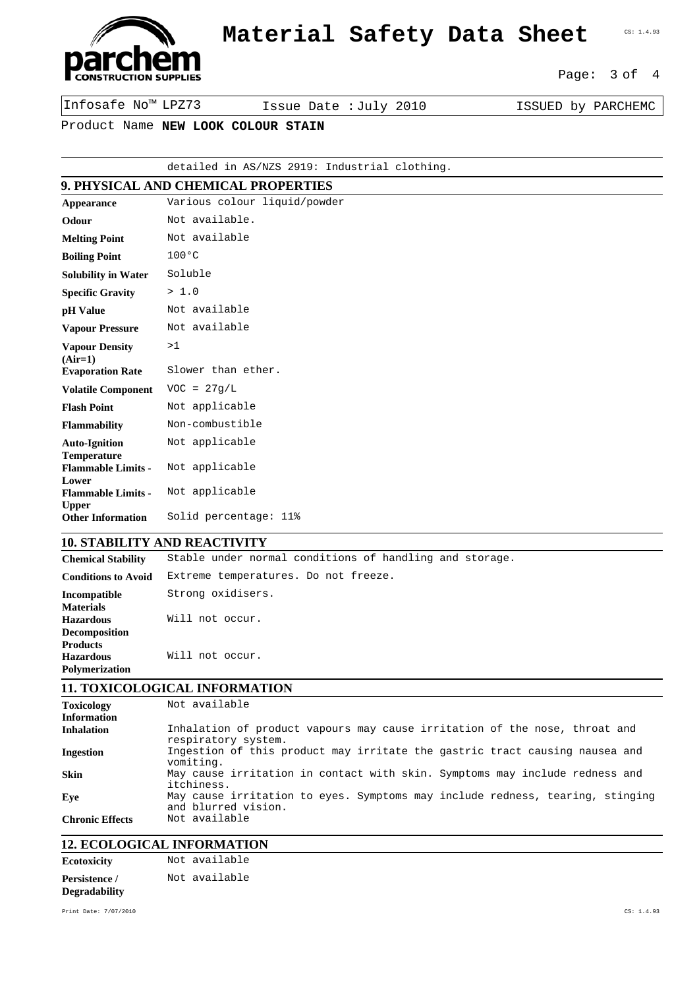

Page: 3 of 4

Infosafe No™ LPZ73 Issue Date :July 2010 ISSUED by PARCHEMC

Product Name **NEW LOOK COLOUR STAIN**

#### detailed in AS/NZS 2919: Industrial clothing.

# **9. PHYSICAL AND CHEMICAL PROPERTIES**

| Appearance                                 | Various colour liquid/powder |
|--------------------------------------------|------------------------------|
| Odour                                      | Not available.               |
| <b>Melting Point</b>                       | Not available                |
| <b>Boiling Point</b>                       | $100^{\circ}$ C              |
| <b>Solubility in Water</b>                 | Soluble                      |
| <b>Specific Gravity</b>                    | > 1.0                        |
| pH Value                                   | Not available                |
| <b>Vapour Pressure</b>                     | Not available                |
| <b>Vapour Density</b><br>$(Air=1)$         | >1                           |
| <b>Evaporation Rate</b>                    | Slower than ether.           |
| <b>Volatile Component</b>                  | $VOC = 27q/L$                |
| <b>Flash Point</b>                         | Not applicable               |
| <b>Flammability</b>                        | Non-combustible              |
| <b>Auto-Ignition</b><br><b>Temperature</b> | Not applicable               |
| <b>Flammable Limits -</b>                  | Not applicable               |
| Lower<br><b>Flammable Limits -</b>         | Not applicable               |
| <b>Upper</b><br><b>Other Information</b>   | Solid percentage: 11%        |

### **10. STABILITY AND REACTIVITY**

**Chemical Stability** Stable under normal conditions of handling and storage.

| <b>Conditions to Avoid</b>              | Extreme temperatures. Do not freeze. |
|-----------------------------------------|--------------------------------------|
| Incompatible                            | Strong oxidisers.                    |
| Materials<br>Hazardous<br>Decomposition | Will not occur.                      |
| Products<br>Hazardous<br>Polymerization | Will not occur.                      |

### **11. TOXICOLOGICAL INFORMATION**

| <b>Toxicology</b><br>Information | Not available                                                                                        |
|----------------------------------|------------------------------------------------------------------------------------------------------|
| Inhalation                       | Inhalation of product vapours may cause irritation of the nose, throat and<br>respiratory system.    |
| <b>Ingestion</b>                 | Ingestion of this product may irritate the gastric tract causing nausea and<br>vomiting.             |
| Skin                             | May cause irritation in contact with skin. Symptoms may include redness and<br>itchiness.            |
| Eve                              | May cause irritation to eyes. Symptoms may include redness, tearing, stinging<br>and blurred vision. |
| <b>Chronic Effects</b>           | Not available                                                                                        |

# **12. ECOLOGICAL INFORMATION**

| Ecotoxicity          | Not available |
|----------------------|---------------|
| <b>Persistence /</b> | Not available |
| Degradability        |               |